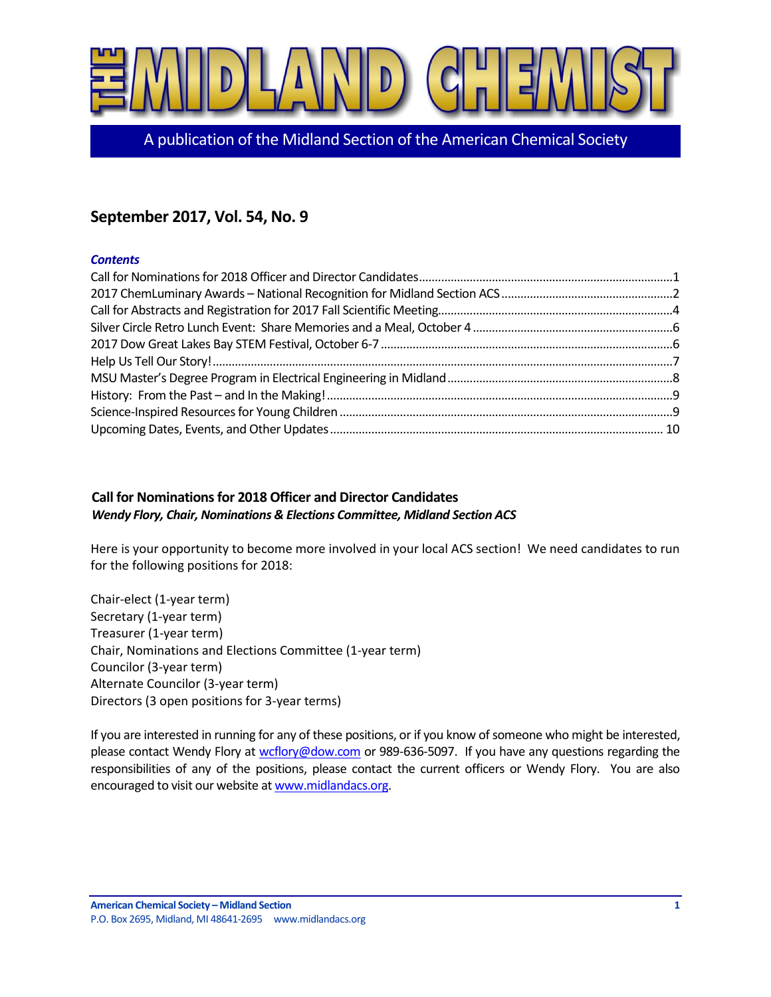

A publication of the Midland Section of the American Chemical Society

# **September 2017, Vol. 54, No. 9**

#### *Contents*

# <span id="page-0-0"></span>**Call for Nominations for 2018 Officer and Director Candidates**  *Wendy Flory, Chair, Nominations & Elections Committee, Midland Section ACS*

Here is your opportunity to become more involved in your local ACS section! We need candidates to run for the following positions for 2018:

Chair-elect (1-year term) Secretary (1-year term) Treasurer (1-year term) Chair, Nominations and Elections Committee (1-year term) Councilor (3-year term) Alternate Councilor (3-year term) Directors (3 open positions for 3-year terms)

If you are interested in running for any of these positions, or if you know of someone who might be interested, please contact Wendy Flory a[t wcflory@dow.com](mailto:wcflory@dow.com) or 989-636-5097. If you have any questions regarding the responsibilities of any of the positions, please contact the current officers or Wendy Flory. You are also encouraged to visit our website a[t www.midlandacs.org.](http://www.midlandacs.org/)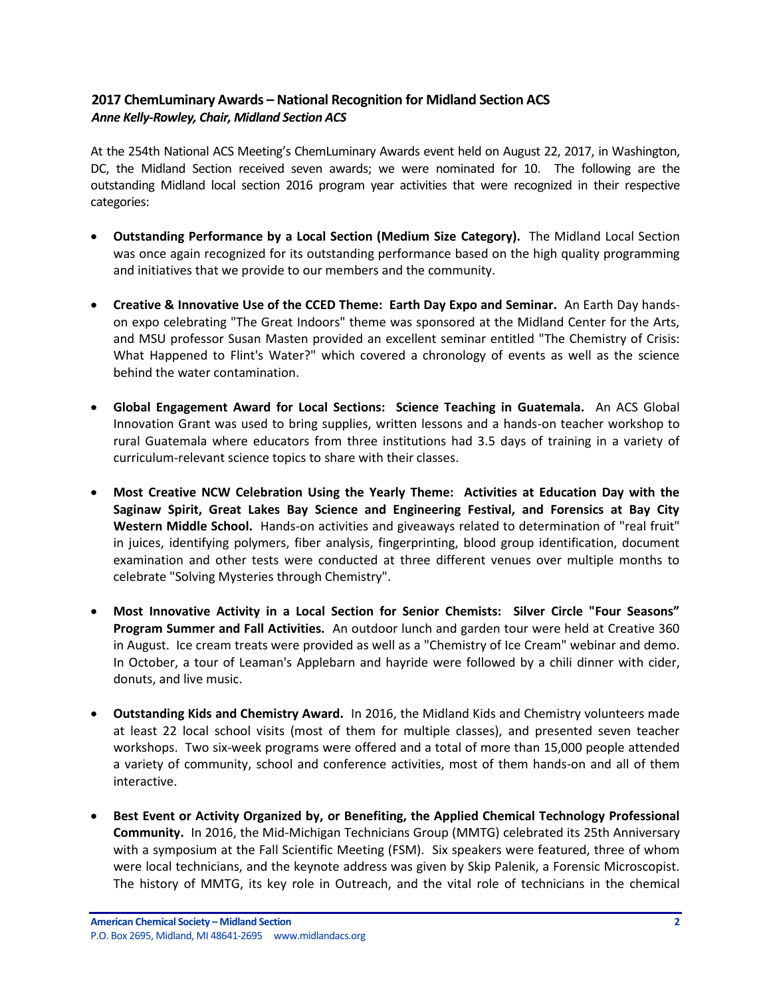# <span id="page-1-0"></span>**2017 ChemLuminary Awards – National Recognition for Midland Section ACS** *Anne Kelly-Rowley, Chair, Midland Section ACS*

At the 254th National ACS Meeting's ChemLuminary Awards event held on August 22, 2017, in Washington, DC, the Midland Section received seven awards; we were nominated for 10. The following are the outstanding Midland local section 2016 program year activities that were recognized in their respective categories:

- **Outstanding Performance by a Local Section (Medium Size Category).** The Midland Local Section was once again recognized for its outstanding performance based on the high quality programming and initiatives that we provide to our members and the community.
- **Creative & Innovative Use of the CCED Theme: Earth Day Expo and Seminar.** An Earth Day handson expo celebrating "The Great Indoors" theme was sponsored at the Midland Center for the Arts, and MSU professor Susan Masten provided an excellent seminar entitled "The Chemistry of Crisis: What Happened to Flint's Water?" which covered a chronology of events as well as the science behind the water contamination.
- **Global Engagement Award for Local Sections: Science Teaching in Guatemala.** An ACS Global Innovation Grant was used to bring supplies, written lessons and a hands-on teacher workshop to rural Guatemala where educators from three institutions had 3.5 days of training in a variety of curriculum-relevant science topics to share with their classes.
- **Most Creative NCW Celebration Using the Yearly Theme: Activities at Education Day with the Saginaw Spirit, Great Lakes Bay Science and Engineering Festival, and Forensics at Bay City Western Middle School.** Hands-on activities and giveaways related to determination of "real fruit" in juices, identifying polymers, fiber analysis, fingerprinting, blood group identification, document examination and other tests were conducted at three different venues over multiple months to celebrate "Solving Mysteries through Chemistry".
- **Most Innovative Activity in a Local Section for Senior Chemists: Silver Circle "Four Seasons" Program Summer and Fall Activities.** An outdoor lunch and garden tour were held at Creative 360 in August. Ice cream treats were provided as well as a "Chemistry of Ice Cream" webinar and demo. In October, a tour of Leaman's Applebarn and hayride were followed by a chili dinner with cider, donuts, and live music.
- **Outstanding Kids and Chemistry Award.** In 2016, the Midland Kids and Chemistry volunteers made at least 22 local school visits (most of them for multiple classes), and presented seven teacher workshops. Two six-week programs were offered and a total of more than 15,000 people attended a variety of community, school and conference activities, most of them hands-on and all of them interactive.
- **Best Event or Activity Organized by, or Benefiting, the Applied Chemical Technology Professional Community.** In 2016, the Mid-Michigan Technicians Group (MMTG) celebrated its 25th Anniversary with a symposium at the Fall Scientific Meeting (FSM). Six speakers were featured, three of whom were local technicians, and the keynote address was given by Skip Palenik, a Forensic Microscopist. The history of MMTG, its key role in Outreach, and the vital role of technicians in the chemical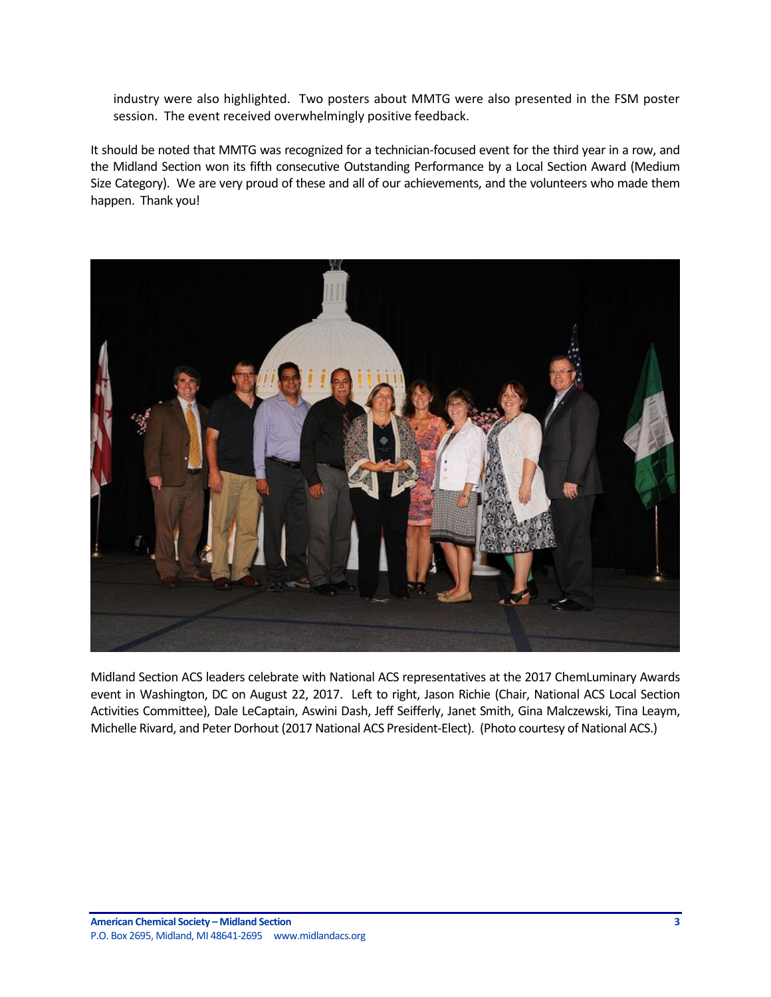industry were also highlighted. Two posters about MMTG were also presented in the FSM poster session. The event received overwhelmingly positive feedback.

It should be noted that MMTG was recognized for a technician-focused event for the third year in a row, and the Midland Section won its fifth consecutive Outstanding Performance by a Local Section Award (Medium Size Category). We are very proud of these and all of our achievements, and the volunteers who made them happen. Thank you!



Midland Section ACS leaders celebrate with National ACS representatives at the 2017 ChemLuminary Awards event in Washington, DC on August 22, 2017. Left to right, Jason Richie (Chair, National ACS Local Section Activities Committee), Dale LeCaptain, Aswini Dash, Jeff Seifferly, Janet Smith, Gina Malczewski, Tina Leaym, Michelle Rivard, and Peter Dorhout (2017 National ACS President-Elect). (Photo courtesy of National ACS.)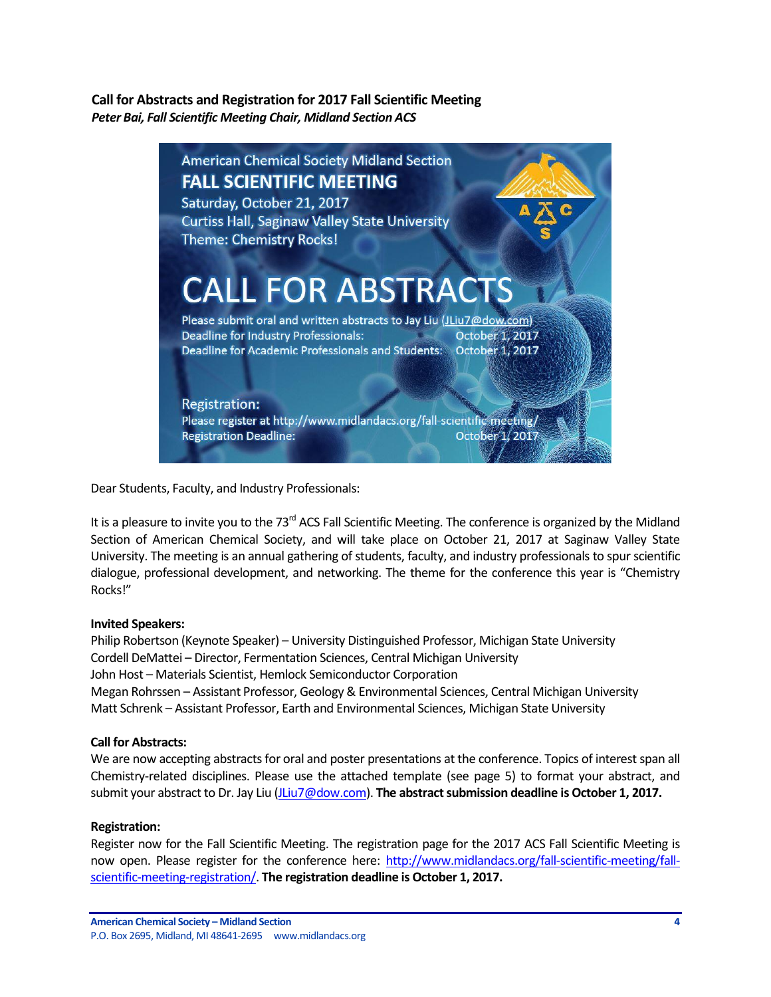<span id="page-3-0"></span>**Call for Abstracts and Registration for 2017 Fall Scientific Meeting** *Peter Bai, Fall Scientific Meeting Chair, Midland Section ACS*



Dear Students, Faculty, and Industry Professionals:

It is a pleasure to invite you to the 73<sup>rd</sup> ACS Fall Scientific Meeting. The conference is organized by the Midland Section of American Chemical Society, and will take place on October 21, 2017 at Saginaw Valley State University. The meeting is an annual gathering of students, faculty, and industry professionals to spur scientific dialogue, professional development, and networking. The theme for the conference this year is "Chemistry Rocks!"

#### **Invited Speakers:**

Philip Robertson (Keynote Speaker) – University Distinguished Professor, Michigan State University Cordell DeMattei – Director, Fermentation Sciences, Central Michigan University John Host – Materials Scientist, Hemlock Semiconductor Corporation Megan Rohrssen – Assistant Professor, Geology & Environmental Sciences, Central Michigan University Matt Schrenk – Assistant Professor, Earth and Environmental Sciences, Michigan State University

#### **Call for Abstracts:**

We are now accepting abstracts for oral and poster presentations at the conference. Topics of interest span all Chemistry-related disciplines. Please use the attached template (see page 5) to format your abstract, and submit your abstract to Dr. Jay Liu [\(JLiu7@dow.com\)](mailto:JLiu7@dow.com). **The abstract submission deadline is October 1, 2017.**

#### **Registration:**

Register now for the Fall Scientific Meeting. The registration page for the 2017 ACS Fall Scientific Meeting is now open. Please register for the conference here: [http://www.midlandacs.org/fall-scientific-meeting/fall](http://www.midlandacs.org/fall-scientific-meeting/fall-scientific-meeting-registration/)[scientific-meeting-registration/.](http://www.midlandacs.org/fall-scientific-meeting/fall-scientific-meeting-registration/) **The registration deadline is October 1, 2017.**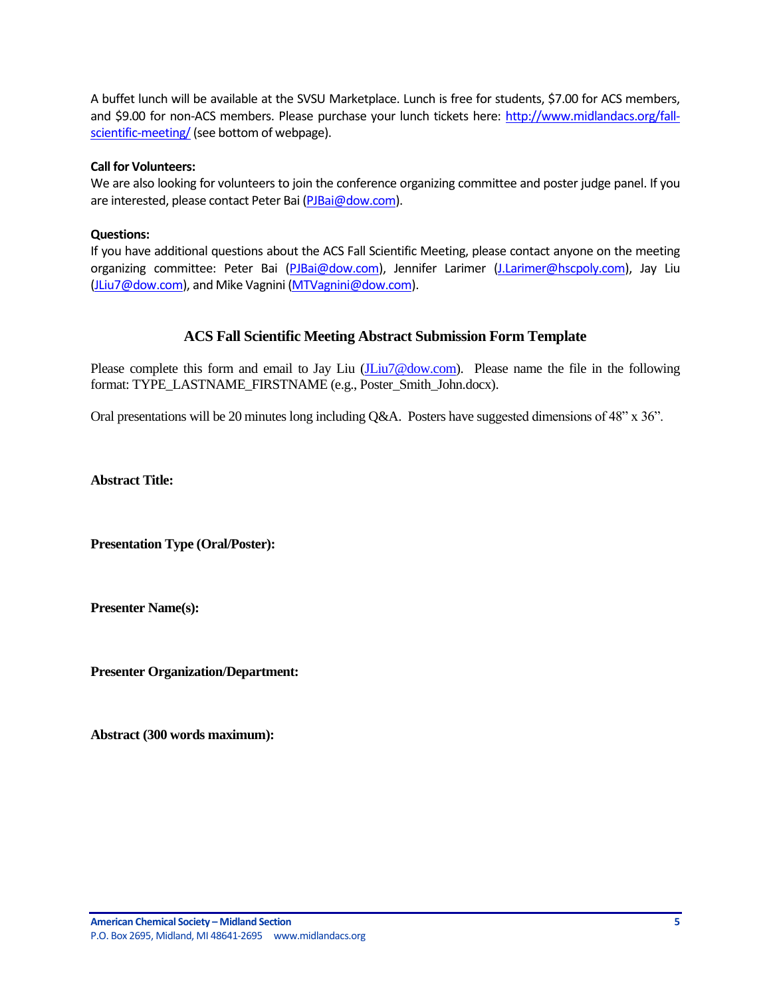A buffet lunch will be available at the SVSU Marketplace. Lunch is free for students, \$7.00 for ACS members, and \$9.00 for non-ACS members. Please purchase your lunch tickets here: [http://www.midlandacs.org/fall](http://www.midlandacs.org/fall-scientific-meeting/)[scientific-meeting/](http://www.midlandacs.org/fall-scientific-meeting/)(see bottom of webpage).

#### **Call for Volunteers:**

We are also looking for volunteers to join the conference organizing committee and poster judge panel. If you are interested, please contact Peter Bai [\(PJBai@dow.com\)](mailto:PJBai@dow.com).

#### **Questions:**

If you have additional questions about the ACS Fall Scientific Meeting, please contact anyone on the meeting organizing committee: Peter Bai [\(PJBai@dow.com\)](mailto:PJBai@dow.com), Jennifer Larimer [\(J.Larimer@hscpoly.com\)](mailto:J.Larimer@hscpoly.com), Jay Liu [\(JLiu7@dow.com\)](mailto:JLiu7@dow.com), and Mike Vagnini [\(MTVagnini@dow.com\)](mailto:MTVagnini@dow.com).

# **ACS Fall Scientific Meeting Abstract Submission Form Template**

Please complete this form and email to Jay Liu [\(JLiu7@dow.com\)](mailto:JLiu7@dow.com). Please name the file in the following format: TYPE\_LASTNAME\_FIRSTNAME (e.g., Poster\_Smith\_John.docx).

Oral presentations will be 20 minutes long including Q&A. Posters have suggested dimensions of 48" x 36".

**Abstract Title:**

**Presentation Type (Oral/Poster):**

**Presenter Name(s):**

**Presenter Organization/Department:**

**Abstract (300 words maximum):**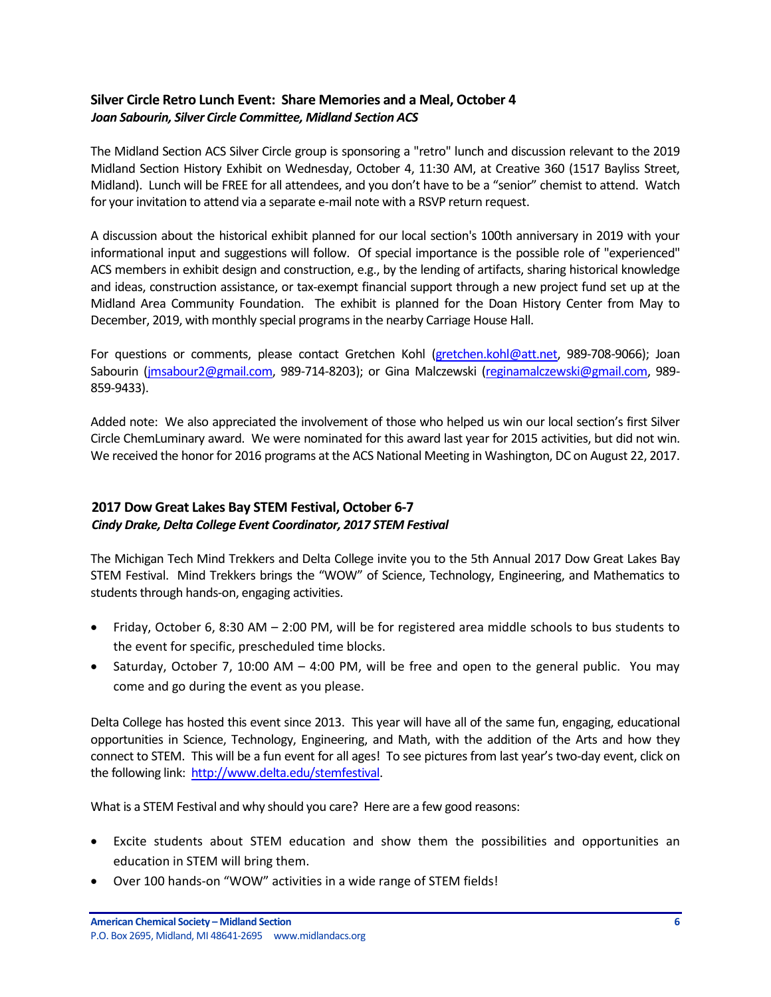# <span id="page-5-0"></span>**Silver Circle Retro Lunch Event: Share Memories and a Meal, October 4** *Joan Sabourin, Silver Circle Committee, Midland Section ACS*

The Midland Section ACS Silver Circle group is sponsoring a "retro" lunch and discussion relevant to the 2019 Midland Section History Exhibit on Wednesday, October 4, 11:30 AM, at Creative 360 (1517 Bayliss Street, Midland). Lunch will be FREE for all attendees, and you don't have to be a "senior" chemist to attend. Watch for your invitation to attend via a separate e-mail note with a RSVP return request.

A discussion about the historical exhibit planned for our local section's 100th anniversary in 2019 with your informational input and suggestions will follow. Of special importance is the possible role of "experienced" ACS members in exhibit design and construction, e.g., by the lending of artifacts, sharing historical knowledge and ideas, construction assistance, or tax-exempt financial support through a new project fund set up at the Midland Area Community Foundation. The exhibit is planned for the Doan History Center from May to December, 2019, with monthly special programs in the nearby Carriage House Hall.

For questions or comments, please contact Gretchen Kohl [\(gretchen.kohl@att.net,](mailto:gretchen.kohl@att.net) 989-708-9066); Joan Sabourin [\(jmsabour2@gmail.com,](mailto:jmsabour2@gmail.com) 989-714-8203); or Gina Malczewski [\(reginamalczewski@gmail.com,](mailto:reginamalczewski@gmail.com) 989-859-9433).

Added note: We also appreciated the involvement of those who helped us win our local section's first Silver Circle ChemLuminary award. We were nominated for this award last year for 2015 activities, but did not win. We received the honor for 2016 programs at the ACS National Meeting in Washington, DC on August 22, 2017.

# <span id="page-5-1"></span>**2017 Dow Great Lakes Bay STEM Festival, October 6-7** *Cindy Drake, Delta College Event Coordinator, 2017 STEM Festival*

The Michigan Tech Mind Trekkers and Delta College invite you to the 5th Annual 2017 Dow Great Lakes Bay STEM Festival. Mind Trekkers brings the "WOW" of Science, Technology, Engineering, and Mathematics to students through hands-on, engaging activities.

- Friday, October 6, 8:30 AM 2:00 PM, will be for registered area middle schools to bus students to the event for specific, prescheduled time blocks.
- $\bullet$  Saturday, October 7, 10:00 AM 4:00 PM, will be free and open to the general public. You may come and go during the event as you please.

Delta College has hosted this event since 2013. This year will have all of the same fun, engaging, educational opportunities in Science, Technology, Engineering, and Math, with the addition of the Arts and how they connect to STEM. This will be a fun event for all ages! To see pictures from last year's two-day event, click on the following link: [http://www.delta.edu/stemfestival.](http://www.delta.edu/stemfestival)

What is a STEM Festival and why should you care? Here are a few good reasons:

- Excite students about STEM education and show them the possibilities and opportunities an education in STEM will bring them.
- Over 100 hands-on "WOW" activities in a wide range of STEM fields!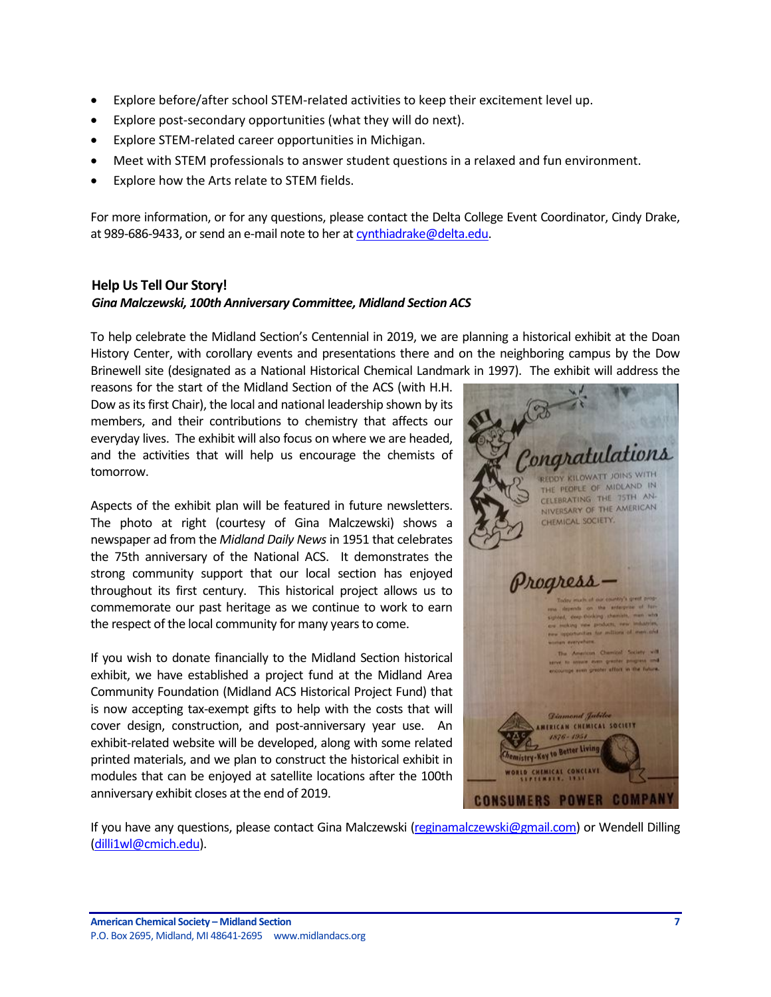- Explore before/after school STEM-related activities to keep their excitement level up.
- Explore post-secondary opportunities (what they will do next).
- Explore STEM-related career opportunities in Michigan.
- Meet with STEM professionals to answer student questions in a relaxed and fun environment.
- Explore how the Arts relate to STEM fields.

For more information, or for any questions, please contact the Delta College Event Coordinator, Cindy Drake, at 989-686-9433, or send an e-mail note to her at [cynthiadrake@delta.edu.](mailto:cynthiadrake@delta.edu)

# <span id="page-6-0"></span>**Help Us Tell Our Story!** *Gina Malczewski, 100th Anniversary Committee, Midland Section ACS*

To help celebrate the Midland Section's Centennial in 2019, we are planning a historical exhibit at the Doan History Center, with corollary events and presentations there and on the neighboring campus by the Dow Brinewell site (designated as a National Historical Chemical Landmark in 1997). The exhibit will address the

reasons for the start of the Midland Section of the ACS (with H.H. Dow as its first Chair), the local and national leadership shown by its members, and their contributions to chemistry that affects our everyday lives. The exhibit will also focus on where we are headed, and the activities that will help us encourage the chemists of tomorrow.

Aspects of the exhibit plan will be featured in future newsletters. The photo at right (courtesy of Gina Malczewski) shows a newspaper ad from the *Midland Daily News* in 1951 that celebrates the 75th anniversary of the National ACS. It demonstrates the strong community support that our local section has enjoyed throughout its first century. This historical project allows us to commemorate our past heritage as we continue to work to earn the respect of the local community for many years to come.

If you wish to donate financially to the Midland Section historical exhibit, we have established a project fund at the Midland Area Community Foundation (Midland ACS Historical Project Fund) that is now accepting tax-exempt gifts to help with the costs that will cover design, construction, and post-anniversary year use. An exhibit-related website will be developed, along with some related printed materials, and we plan to construct the historical exhibit in modules that can be enjoyed at satellite locations after the 100th anniversary exhibit closes at the end of 2019.



If you have any questions, please contact Gina Malczewski [\(reginamalczewski@gmail.com\)](mailto:reginamalczewski@gmail.com) or Wendell Dilling [\(dilli1wl@cmich.edu\)](mailto:dilli1wl@cmich.edu).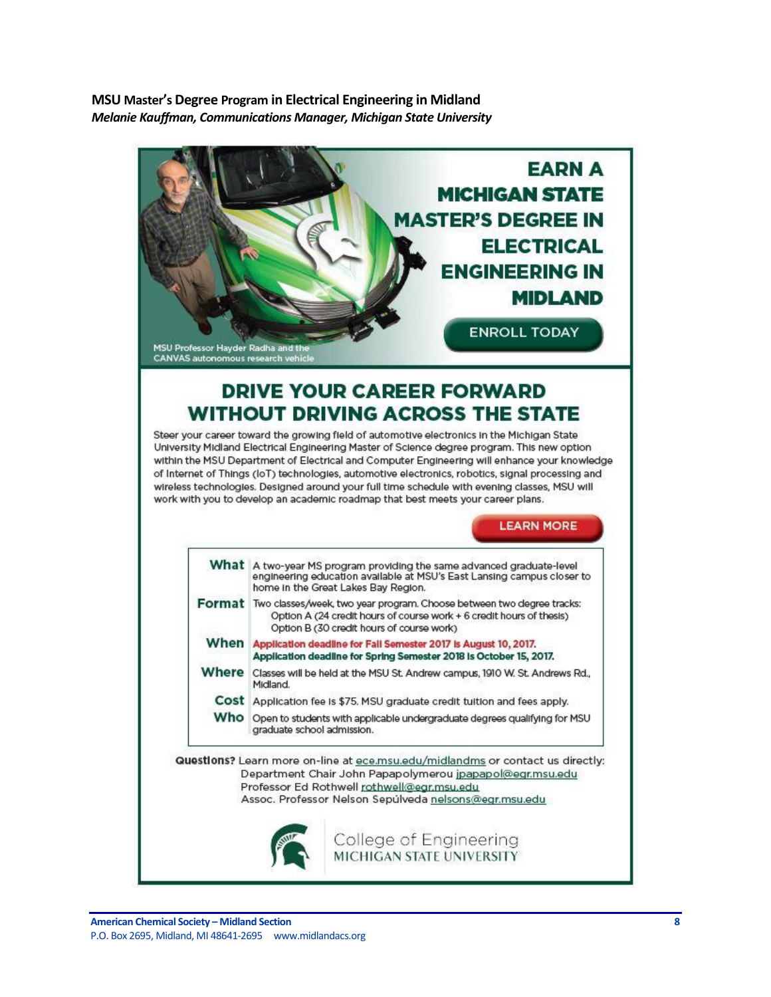<span id="page-7-0"></span>**MSU Master's Degree Program in Electrical Engineering in Midland** *Melanie Kauffman, Communications Manager, Michigan State University*

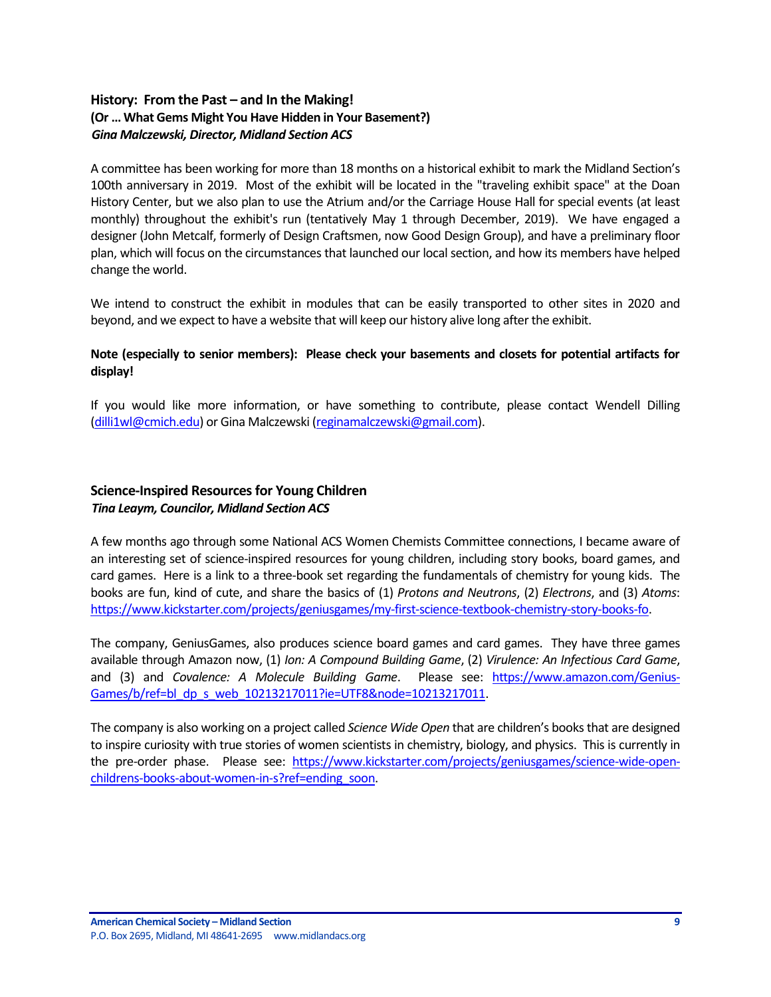# <span id="page-8-0"></span>**History: From the Past – and In the Making! (Or … What Gems Might You Have Hidden in Your Basement?)** *Gina Malczewski, Director, Midland Section ACS*

A committee has been working for more than 18 months on a historical exhibit to mark the Midland Section's 100th anniversary in 2019. Most of the exhibit will be located in the "traveling exhibit space" at the Doan History Center, but we also plan to use the Atrium and/or the Carriage House Hall for special events (at least monthly) throughout the exhibit's run (tentatively May 1 through December, 2019). We have engaged a designer (John Metcalf, formerly of Design Craftsmen, now Good Design Group), and have a preliminary floor plan, which will focus on the circumstances that launched our local section, and how its members have helped change the world.

We intend to construct the exhibit in modules that can be easily transported to other sites in 2020 and beyond, and we expect to have a website that will keep our history alive long after the exhibit.

#### **Note (especially to senior members): Please check your basements and closets for potential artifacts for display!**

If you would like more information, or have something to contribute, please contact Wendell Dilling [\(dilli1wl@cmich.edu\)](mailto:dilli1wl@cmich.edu) or Gina Malczewski [\(reginamalczewski@gmail.com\)](mailto:reginamalczewski@gmail.com).

# <span id="page-8-1"></span>**Science-Inspired Resources for Young Children** *Tina Leaym, Councilor, Midland Section ACS*

A few months ago through some National ACS Women Chemists Committee connections, I became aware of an interesting set of science-inspired resources for young children, including story books, board games, and card games. Here is a link to a three-book set regarding the fundamentals of chemistry for young kids. The books are fun, kind of cute, and share the basics of (1) *Protons and Neutrons*, (2) *Electrons*, and (3) *Atoms*: [https://www.kickstarter.com/projects/geniusgames/my-first-science-textbook-chemistry-story-books-fo.](https://www.kickstarter.com/projects/geniusgames/my-first-science-textbook-chemistry-story-books-fo)

The company, GeniusGames, also produces science board games and card games. They have three games available through Amazon now, (1) *Ion: A Compound Building Game*, (2) *Virulence: An Infectious Card Game*, and (3) and *Covalence: A Molecule Building Game*. Please see: [https://www.amazon.com/Genius-](https://www.amazon.com/Genius-Games/b/ref=bl_dp_s_web_10213217011?ie=UTF8&node=10213217011)[Games/b/ref=bl\\_dp\\_s\\_web\\_10213217011?ie=UTF8&node=10213217011.](https://www.amazon.com/Genius-Games/b/ref=bl_dp_s_web_10213217011?ie=UTF8&node=10213217011)

The company is also working on a project called *Science Wide Open* that are children's booksthat are designed to inspire curiosity with true stories of women scientists in chemistry, biology, and physics. This is currently in the pre-order phase. Please see: [https://www.kickstarter.com/projects/geniusgames/science-wide-open](https://na01.safelinks.protection.outlook.com/?url=https%3A%2F%2Fwww.kickstarter.com%2Fprojects%2Fgeniusgames%2Fscience-wide-open-childrens-books-about-women-in-s%3Fref%3Dending_soon&data=02%7C01%7Ctina.leaym%40dowcorning.com%7C4fd66ca8e2d140c298e108d480516a0f%7C06878b006aea468e8e59c0dfbb85bf53%7C0%7C0%7C636274534558499317&sdata=m%2FOHD2jWab5rJiI0ZPOh9%2BT3haNlxAqG0S6Cy%2BpbZM4%3D&reserved=0)[childrens-books-about-women-in-s?ref=ending\\_soon.](https://na01.safelinks.protection.outlook.com/?url=https%3A%2F%2Fwww.kickstarter.com%2Fprojects%2Fgeniusgames%2Fscience-wide-open-childrens-books-about-women-in-s%3Fref%3Dending_soon&data=02%7C01%7Ctina.leaym%40dowcorning.com%7C4fd66ca8e2d140c298e108d480516a0f%7C06878b006aea468e8e59c0dfbb85bf53%7C0%7C0%7C636274534558499317&sdata=m%2FOHD2jWab5rJiI0ZPOh9%2BT3haNlxAqG0S6Cy%2BpbZM4%3D&reserved=0)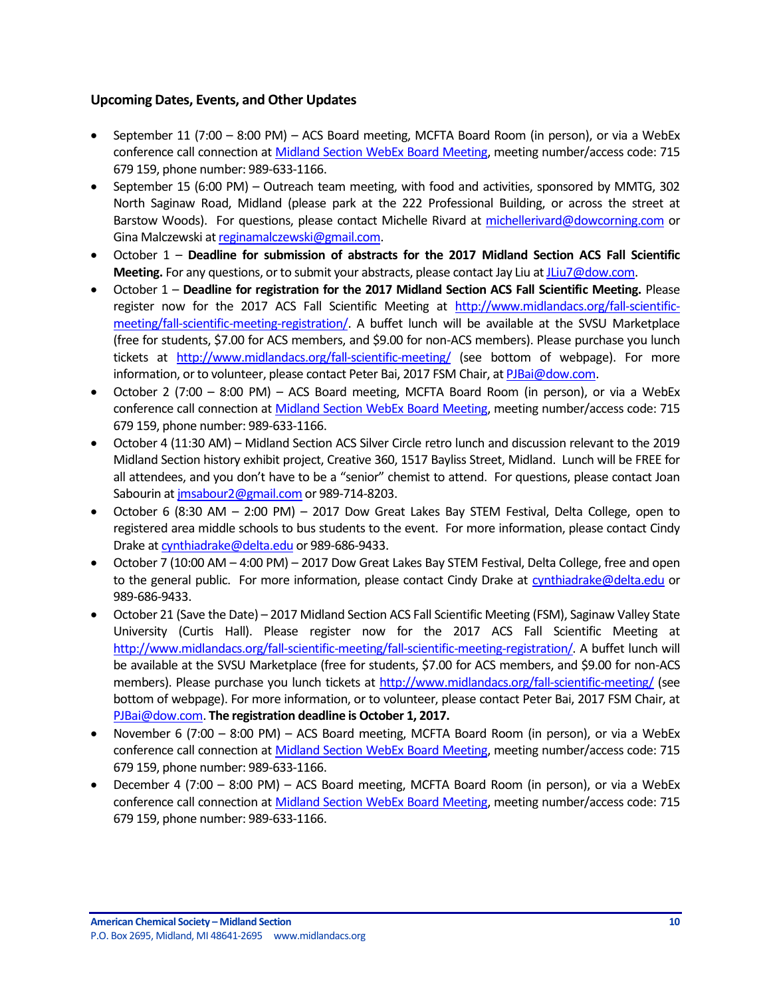# <span id="page-9-0"></span>**Upcoming Dates, Events, and Other Updates**

- $\bullet$  September 11 (7:00 8:00 PM) ACS Board meeting, MCFTA Board Room (in person), or via a WebEx conference call connection a[t Midland Section WebEx Board Meeting,](https://dow.webex.com/mw3000/mywebex/default.do?service=1&main_url=%2Fmc3000%2Fe.do%3Fsiteurl%3Ddow%26AT%3DMI%26EventID%3D538213622%26MTID%3Dm6bd6812daaa9d053419d46f18be71c21%26Host%3DQUhTSwAAAAPRH17xdc850TNaqrXu82wV-x3jpjs_D1dcXCIzwwarRBsk7pqoTNERtE0mHQqtuB7HjPq8_OGpd7FHFnEY78fm0%26FrameSet%3D2&siteurl=dow&nomenu=true) meeting number/access code: 715 679 159, phone number: 989-633-1166.
- September 15 (6:00 PM) Outreach team meeting, with food and activities, sponsored by MMTG, 302 North Saginaw Road, Midland (please park at the 222 Professional Building, or across the street at Barstow Woods). For questions, please contact Michelle Rivard at [michellerivard@dowcorning.com](mailto:michellerivard@dowcorning.com) or Gina Malczewski a[t reginamalczewski@gmail.com.](mailto:reginamalczewski@gmail.com)
- October 1 **Deadline for submission of abstracts for the 2017 Midland Section ACS Fall Scientific Meeting.** For any questions, or to submit your abstracts, please contact Jay Liu a[t JLiu7@dow.com.](mailto:JLiu7@dow.com)
- October 1 **Deadline for registration for the 2017 Midland Section ACS Fall Scientific Meeting.** Please register now for the 2017 ACS Fall Scientific Meeting at [http://www.midlandacs.org/fall-scientific](http://www.midlandacs.org/fall-scientific-meeting/fall-scientific-meeting-registration/)[meeting/fall-scientific-meeting-registration/.](http://www.midlandacs.org/fall-scientific-meeting/fall-scientific-meeting-registration/) A buffet lunch will be available at the SVSU Marketplace (free for students, \$7.00 for ACS members, and \$9.00 for non-ACS members). Please purchase you lunch tickets at <http://www.midlandacs.org/fall-scientific-meeting/> (see bottom of webpage). For more information, or to volunteer, please contact Peter Bai, 2017 FSM Chair, a[t PJBai@dow.com.](mailto:PJBai@dow.com)
- October 2 (7:00 8:00 PM) ACS Board meeting, MCFTA Board Room (in person), or via a WebEx conference call connection a[t Midland Section WebEx Board Meeting,](https://dow.webex.com/mw3000/mywebex/default.do?service=1&main_url=%2Fmc3000%2Fe.do%3Fsiteurl%3Ddow%26AT%3DMI%26EventID%3D538213622%26MTID%3Dm6bd6812daaa9d053419d46f18be71c21%26Host%3DQUhTSwAAAAPRH17xdc850TNaqrXu82wV-x3jpjs_D1dcXCIzwwarRBsk7pqoTNERtE0mHQqtuB7HjPq8_OGpd7FHFnEY78fm0%26FrameSet%3D2&siteurl=dow&nomenu=true) meeting number/access code: 715 679 159, phone number: 989-633-1166.
- October 4 (11:30 AM) Midland Section ACS Silver Circle retro lunch and discussion relevant to the 2019 Midland Section history exhibit project, Creative 360, 1517 Bayliss Street, Midland. Lunch will be FREE for all attendees, and you don't have to be a "senior" chemist to attend. For questions, please contact Joan Sabourin a[t jmsabour2@gmail.com](mailto:jmsabour2@gmail.com) or 989-714-8203.
- October 6 (8:30 AM 2:00 PM) 2017 Dow Great Lakes Bay STEM Festival, Delta College, open to registered area middle schools to bus students to the event. For more information, please contact Cindy Drake a[t cynthiadrake@delta.edu](mailto:cynthiadrake@delta.edu) or 989‐686‐9433.
- October 7 (10:00 AM 4:00 PM) 2017 Dow Great Lakes Bay STEM Festival, Delta College, free and open to the general public. For more information, please contact Cindy Drake at [cynthiadrake@delta.edu](mailto:cynthiadrake@delta.edu) or 989‐686‐9433.
- October 21 (Save the Date) 2017 Midland Section ACS Fall Scientific Meeting (FSM), Saginaw Valley State University (Curtis Hall). Please register now for the 2017 ACS Fall Scientific Meeting at [http://www.midlandacs.org/fall-scientific-meeting/fall-scientific-meeting-registration/.](http://www.midlandacs.org/fall-scientific-meeting/fall-scientific-meeting-registration/) A buffet lunch will be available at the SVSU Marketplace (free for students, \$7.00 for ACS members, and \$9.00 for non-ACS members). Please purchase you lunch tickets at<http://www.midlandacs.org/fall-scientific-meeting/> (see bottom of webpage). For more information, or to volunteer, please contact Peter Bai, 2017 FSM Chair, at [PJBai@dow.com.](mailto:PJBai@dow.com) **The registration deadline is October 1, 2017.**
- November 6 (7:00 8:00 PM) ACS Board meeting, MCFTA Board Room (in person), or via a WebEx conference call connection a[t Midland Section WebEx Board Meeting,](https://dow.webex.com/mw3000/mywebex/default.do?service=1&main_url=%2Fmc3000%2Fe.do%3Fsiteurl%3Ddow%26AT%3DMI%26EventID%3D538213622%26MTID%3Dm6bd6812daaa9d053419d46f18be71c21%26Host%3DQUhTSwAAAAPRH17xdc850TNaqrXu82wV-x3jpjs_D1dcXCIzwwarRBsk7pqoTNERtE0mHQqtuB7HjPq8_OGpd7FHFnEY78fm0%26FrameSet%3D2&siteurl=dow&nomenu=true) meeting number/access code: 715 679 159, phone number: 989-633-1166.
- December 4 (7:00 8:00 PM) ACS Board meeting, MCFTA Board Room (in person), or via a WebEx conference call connection a[t Midland Section WebEx Board Meeting,](https://dow.webex.com/mw3000/mywebex/default.do?service=1&main_url=%2Fmc3000%2Fe.do%3Fsiteurl%3Ddow%26AT%3DMI%26EventID%3D538213622%26MTID%3Dm6bd6812daaa9d053419d46f18be71c21%26Host%3DQUhTSwAAAAPRH17xdc850TNaqrXu82wV-x3jpjs_D1dcXCIzwwarRBsk7pqoTNERtE0mHQqtuB7HjPq8_OGpd7FHFnEY78fm0%26FrameSet%3D2&siteurl=dow&nomenu=true) meeting number/access code: 715 679 159, phone number: 989-633-1166.